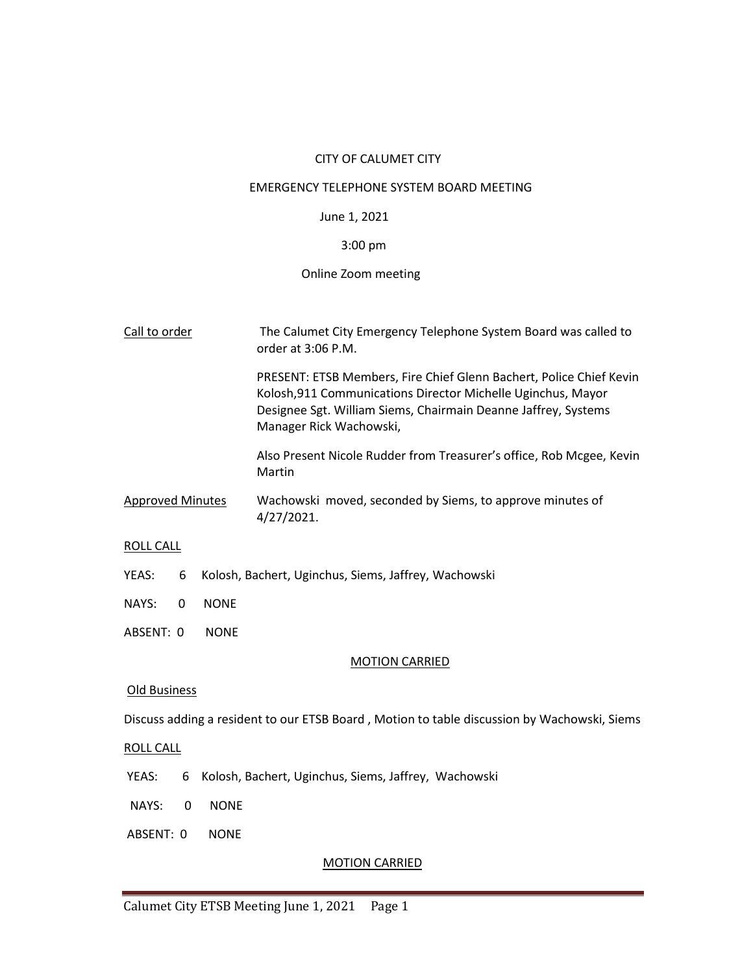## CITY OF CALUMET CITY

#### EMERGENCY TELEPHONE SYSTEM BOARD MEETING

## June 1, 2021

# 3:00 pm

## Online Zoom meeting

| Call to order                                                      |             | The Calumet City Emergency Telephone System Board was called to<br>order at 3:06 P.M.                                                                                                                                            |  |  |  |
|--------------------------------------------------------------------|-------------|----------------------------------------------------------------------------------------------------------------------------------------------------------------------------------------------------------------------------------|--|--|--|
|                                                                    |             | PRESENT: ETSB Members, Fire Chief Glenn Bachert, Police Chief Kevin<br>Kolosh, 911 Communications Director Michelle Uginchus, Mayor<br>Designee Sgt. William Siems, Chairmain Deanne Jaffrey, Systems<br>Manager Rick Wachowski, |  |  |  |
|                                                                    |             | Also Present Nicole Rudder from Treasurer's office, Rob Mcgee, Kevin<br>Martin                                                                                                                                                   |  |  |  |
| <b>Approved Minutes</b>                                            |             | Wachowski moved, seconded by Siems, to approve minutes of<br>4/27/2021.                                                                                                                                                          |  |  |  |
| <b>ROLL CALL</b>                                                   |             |                                                                                                                                                                                                                                  |  |  |  |
| 6<br>Kolosh, Bachert, Uginchus, Siems, Jaffrey, Wachowski<br>YEAS: |             |                                                                                                                                                                                                                                  |  |  |  |
| NAYS:<br>0                                                         | <b>NONE</b> |                                                                                                                                                                                                                                  |  |  |  |
| ABSENT: 0                                                          | <b>NONE</b> |                                                                                                                                                                                                                                  |  |  |  |
| <b>MOTION CARRIED</b>                                              |             |                                                                                                                                                                                                                                  |  |  |  |
| Old Business                                                       |             |                                                                                                                                                                                                                                  |  |  |  |

Discuss adding a resident to our ETSB Board , Motion to table discussion by Wachowski, Siems

## ROLL CALL

- YEAS: 6 Kolosh, Bachert, Uginchus, Siems, Jaffrey, Wachowski
- NAYS: 0 NONE
- ABSENT: 0 NONE

## MOTION CARRIED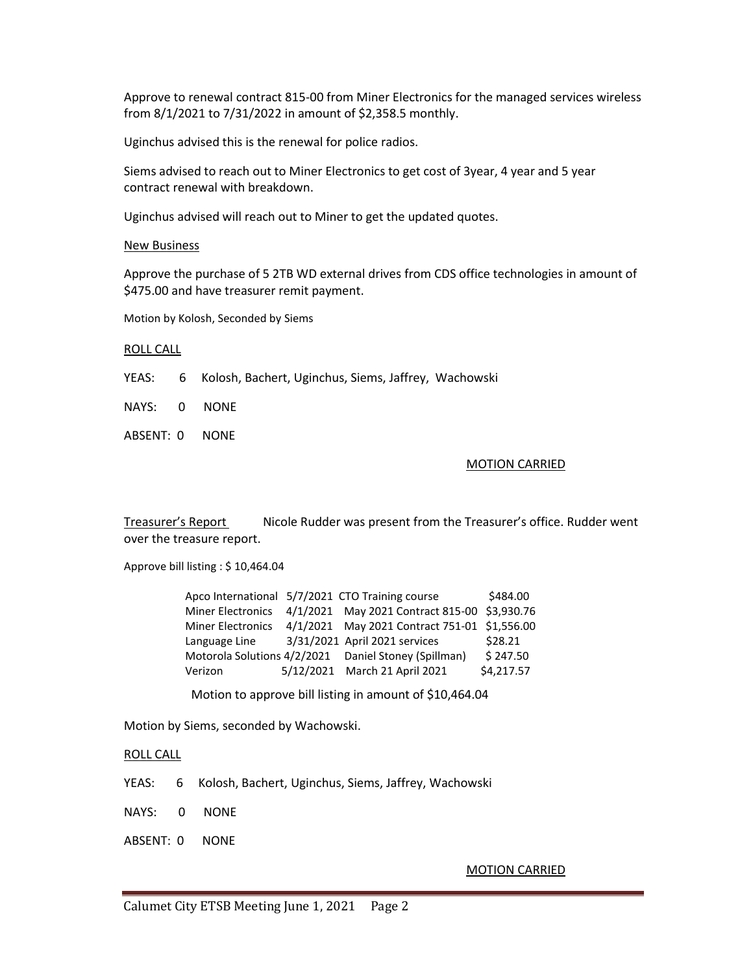Approve to renewal contract 815-00 from Miner Electronics for the managed services wireless from 8/1/2021 to 7/31/2022 in amount of \$2,358.5 monthly.

Uginchus advised this is the renewal for police radios.

Siems advised to reach out to Miner Electronics to get cost of 3year, 4 year and 5 year contract renewal with breakdown.

Uginchus advised will reach out to Miner to get the updated quotes.

#### New Business

Approve the purchase of 5 2TB WD external drives from CDS office technologies in amount of \$475.00 and have treasurer remit payment.

Motion by Kolosh, Seconded by Siems

#### ROLL CALL

YEAS: 6 Kolosh, Bachert, Uginchus, Siems, Jaffrey, Wachowski

NAYS: 0 NONE

ABSENT: 0 NONE

#### MOTION CARRIED

Treasurer's Report Nicole Rudder was present from the Treasurer's office. Rudder went over the treasure report.

Approve bill listing : \$ 10,464.04

|                          | Apco International 5/7/2021 CTO Training course       | \$484.00   |
|--------------------------|-------------------------------------------------------|------------|
| <b>Miner Electronics</b> | 4/1/2021 May 2021 Contract 815-00 \$3,930.76          |            |
| <b>Miner Electronics</b> | 4/1/2021 May 2021 Contract 751-01 \$1,556.00          |            |
| Language Line            | 3/31/2021 April 2021 services                         | \$28.21    |
|                          | Motorola Solutions 4/2/2021  Daniel Stoney (Spillman) | \$247.50   |
| Verizon                  | 5/12/2021 March 21 April 2021                         | \$4,217.57 |

Motion to approve bill listing in amount of \$10,464.04

Motion by Siems, seconded by Wachowski.

## ROLL CALL

YEAS: 6 Kolosh, Bachert, Uginchus, Siems, Jaffrey, Wachowski

NAYS: 0 NONE

ABSENT: 0 NONE

#### MOTION CARRIED